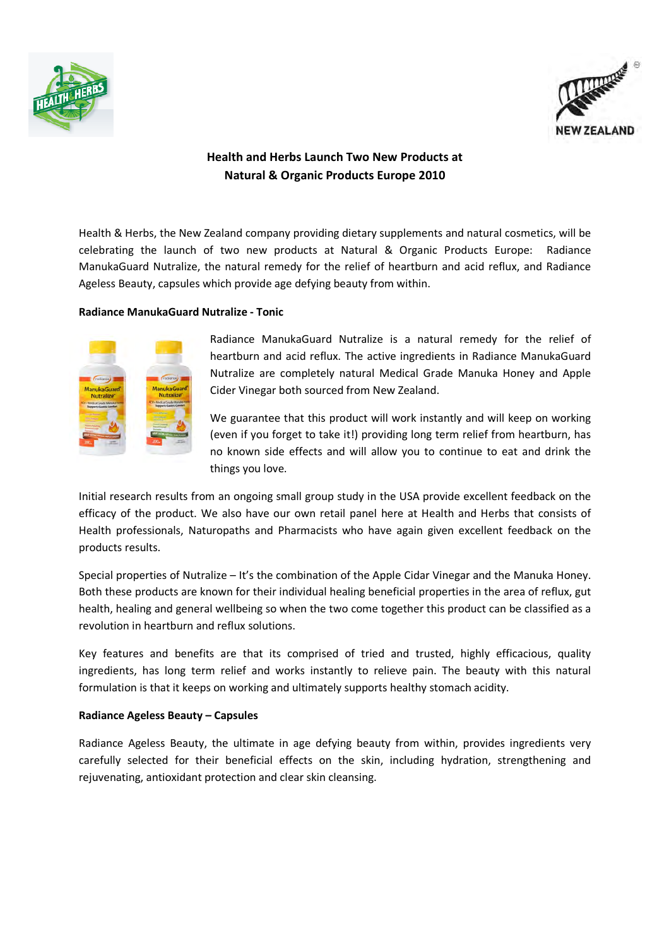



## Health and Herbs Launch Two New Products at Natural & Organic Products Europe 2010

Health & Herbs, the New Zealand company providing dietary supplements and natural cosmetics, will be celebrating the launch of two new products at Natural & Organic Products Europe: Radiance ManukaGuard Nutralize, the natural remedy for the relief of heartburn and acid reflux, and Radiance Ageless Beauty, capsules which provide age defying beauty from within.

## Radiance ManukaGuard Nutralize - Tonic



Radiance ManukaGuard Nutralize is a natural remedy for the relief of heartburn and acid reflux. The active ingredients in Radiance ManukaGuard Nutralize are completely natural Medical Grade Manuka Honey and Apple Cider Vinegar both sourced from New Zealand.

We guarantee that this product will work instantly and will keep on working (even if you forget to take it!) providing long term relief from heartburn, has no known side effects and will allow you to continue to eat and drink the things you love.

Initial research results from an ongoing small group study in the USA provide excellent feedback on the efficacy of the product. We also have our own retail panel here at Health and Herbs that consists of Health professionals, Naturopaths and Pharmacists who have again given excellent feedback on the products results.

Special properties of Nutralize – It's the combination of the Apple Cidar Vinegar and the Manuka Honey. Both these products are known for their individual healing beneficial properties in the area of reflux, gut health, healing and general wellbeing so when the two come together this product can be classified as a revolution in heartburn and reflux solutions.

Key features and benefits are that its comprised of tried and trusted, highly efficacious, quality ingredients, has long term relief and works instantly to relieve pain. The beauty with this natural formulation is that it keeps on working and ultimately supports healthy stomach acidity.

## Radiance Ageless Beauty – Capsules

Radiance Ageless Beauty, the ultimate in age defying beauty from within, provides ingredients very carefully selected for their beneficial effects on the skin, including hydration, strengthening and rejuvenating, antioxidant protection and clear skin cleansing.